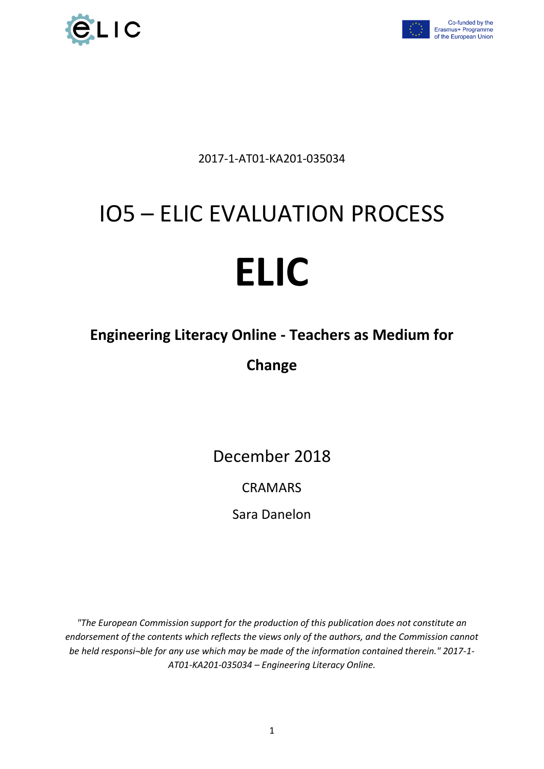



Co-funded by the<br>Erasmus+ Programme of the European Union

2017-1-AT01-KA201-035034

# IO5 – ELIC EVALUATION PROCESS

# **ELIC**

# **Engineering Literacy Online - Teachers as Medium for**

**Change**

December 2018

# CRAMARS

Sara Danelon

*"The European Commission support for the production of this publication does not constitute an endorsement of the contents which reflects the views only of the authors, and the Commission cannot be held responsi¬ble for any use which may be made of the information contained therein." 2017-1- AT01-KA201-035034 – Engineering Literacy Online.*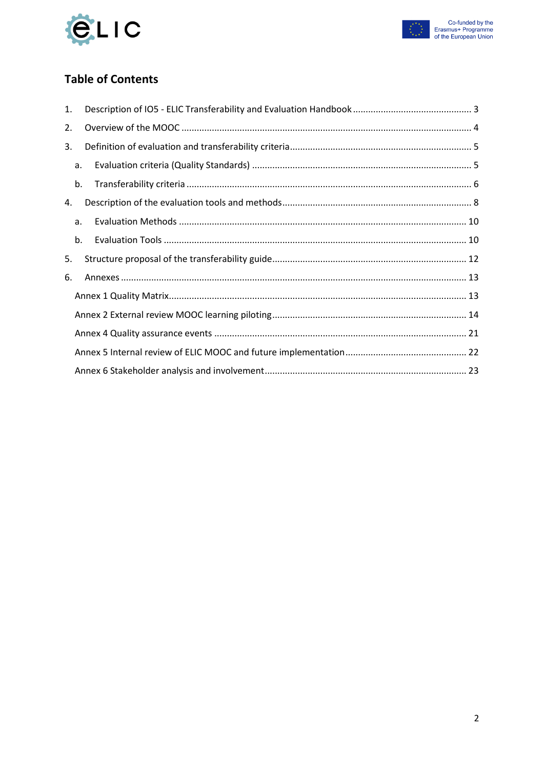



### **Table of Contents**

| 1. |    |  |
|----|----|--|
| 2. |    |  |
| 3. |    |  |
|    | a. |  |
|    | b. |  |
| 4. |    |  |
|    | a. |  |
|    | b. |  |
| 5. |    |  |
| 6. |    |  |
|    |    |  |
|    |    |  |
|    |    |  |
|    |    |  |
|    |    |  |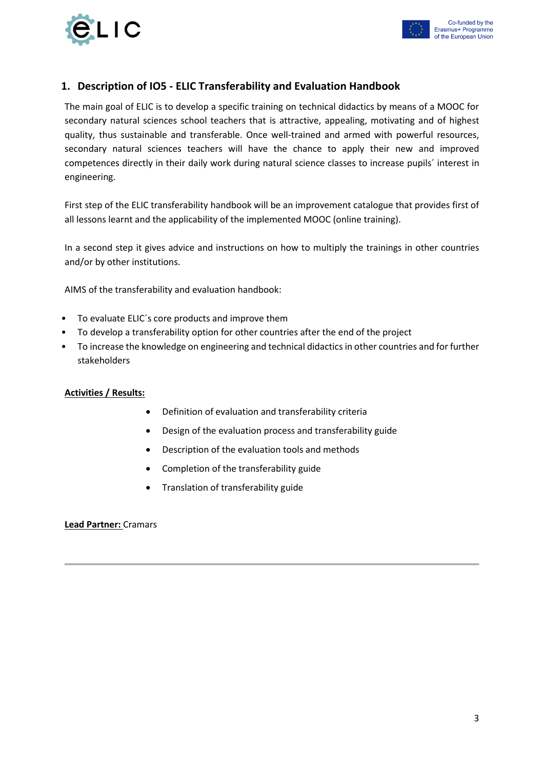



#### <span id="page-2-0"></span>**1. Description of IO5 - ELIC Transferability and Evaluation Handbook**

The main goal of ELIC is to develop a specific training on technical didactics by means of a MOOC for secondary natural sciences school teachers that is attractive, appealing, motivating and of highest quality, thus sustainable and transferable. Once well-trained and armed with powerful resources, secondary natural sciences teachers will have the chance to apply their new and improved competences directly in their daily work during natural science classes to increase pupils´ interest in engineering.

First step of the ELIC transferability handbook will be an improvement catalogue that provides first of all lessons learnt and the applicability of the implemented MOOC (online training).

In a second step it gives advice and instructions on how to multiply the trainings in other countries and/or by other institutions.

AIMS of the transferability and evaluation handbook:

- To evaluate ELIC´s core products and improve them
- To develop a transferability option for other countries after the end of the project
- To increase the knowledge on engineering and technical didactics in other countries and for further stakeholders

#### **Activities / Results:**

- Definition of evaluation and transferability criteria
- Design of the evaluation process and transferability guide
- Description of the evaluation tools and methods
- Completion of the transferability guide
- Translation of transferability guide

**Lead Partner:** Cramars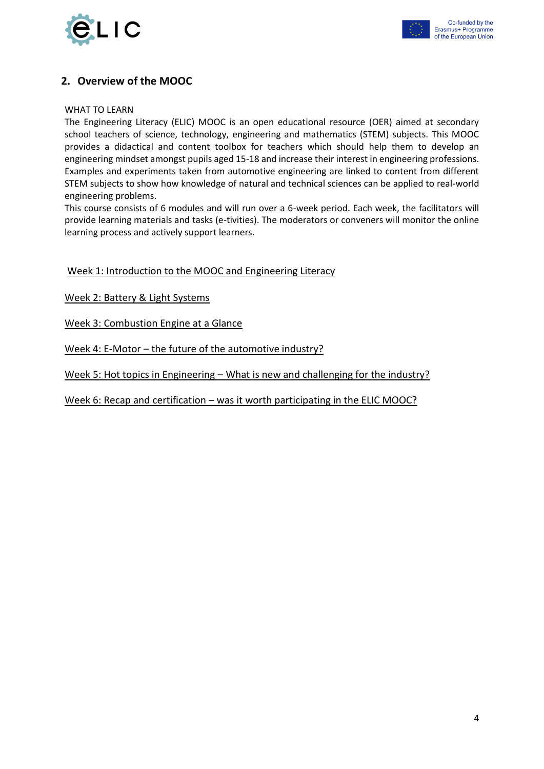



#### <span id="page-3-0"></span>**2. Overview of the MOOC**

#### WHAT TO LEARN

The Engineering Literacy (ELIC) MOOC is an open educational resource (OER) aimed at secondary school teachers of science, technology, engineering and mathematics (STEM) subjects. This MOOC provides a didactical and content toolbox for teachers which should help them to develop an engineering mindset amongst pupils aged 15-18 and increase their interest in engineering professions. Examples and experiments taken from automotive engineering are linked to content from different STEM subjects to show how knowledge of natural and technical sciences can be applied to real-world engineering problems.

This course consists of 6 modules and will run over a 6-week period. Each week, the facilitators will provide learning materials and tasks (e-tivities). The moderators or conveners will monitor the online learning process and actively support learners.

#### Week 1: Introduction to the MOOC and Engineering Literacy

Week 2: Battery & Light Systems

Week 3: Combustion Engine at a Glance

Week 4: E-Motor – the future of the automotive industry?

Week 5: Hot topics in Engineering – What is new and challenging for the industry?

Week 6: Recap and certification – was it worth participating in the ELIC MOOC?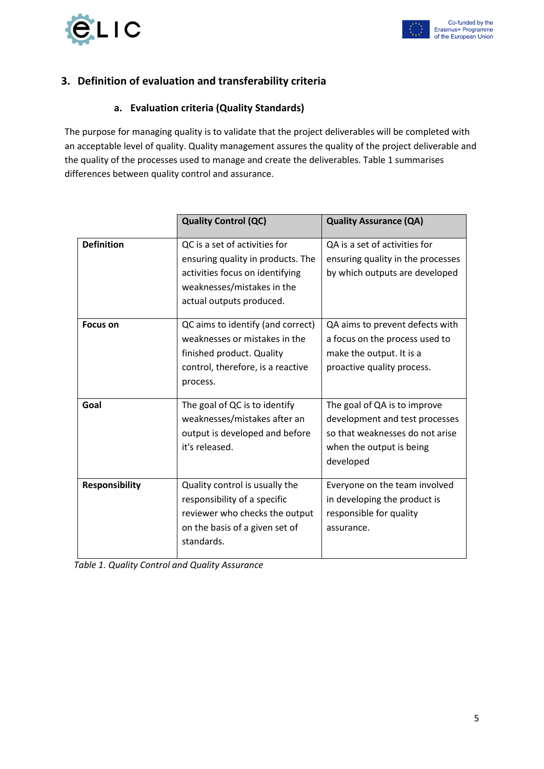

#### <span id="page-4-1"></span><span id="page-4-0"></span>**3. Definition of evaluation and transferability criteria**

#### **a. Evaluation criteria (Quality Standards)**

The purpose for managing quality is to validate that the project deliverables will be completed with an acceptable level of quality. Quality management assures the quality of the project deliverable and the quality of the processes used to manage and create the deliverables. Table 1 summarises differences between quality control and assurance.

|                       | <b>Quality Control (QC)</b>                                                                                                                                     | <b>Quality Assurance (QA)</b>                                                                                                              |
|-----------------------|-----------------------------------------------------------------------------------------------------------------------------------------------------------------|--------------------------------------------------------------------------------------------------------------------------------------------|
| <b>Definition</b>     | QC is a set of activities for<br>ensuring quality in products. The<br>activities focus on identifying<br>weaknesses/mistakes in the<br>actual outputs produced. | QA is a set of activities for<br>ensuring quality in the processes<br>by which outputs are developed                                       |
| <b>Focus on</b>       | QC aims to identify (and correct)<br>weaknesses or mistakes in the<br>finished product. Quality<br>control, therefore, is a reactive<br>process.                | QA aims to prevent defects with<br>a focus on the process used to<br>make the output. It is a<br>proactive quality process.                |
| Goal                  | The goal of QC is to identify<br>weaknesses/mistakes after an<br>output is developed and before<br>it's released.                                               | The goal of QA is to improve<br>development and test processes<br>so that weaknesses do not arise<br>when the output is being<br>developed |
| <b>Responsibility</b> | Quality control is usually the<br>responsibility of a specific<br>reviewer who checks the output<br>on the basis of a given set of<br>standards.                | Everyone on the team involved<br>in developing the product is<br>responsible for quality<br>assurance.                                     |

| Table 1. Quality Control and Quality Assurance |
|------------------------------------------------|
|------------------------------------------------|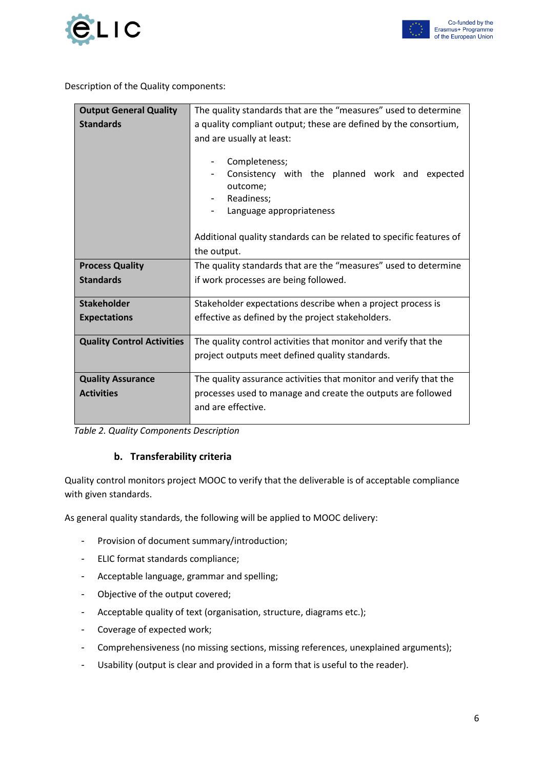

Description of the Quality components:

| <b>Output General Quality</b>                                                     | The quality standards that are the "measures" used to determine     |  |  |
|-----------------------------------------------------------------------------------|---------------------------------------------------------------------|--|--|
| <b>Standards</b>                                                                  | a quality compliant output; these are defined by the consortium,    |  |  |
|                                                                                   | and are usually at least:                                           |  |  |
|                                                                                   |                                                                     |  |  |
|                                                                                   | Completeness;                                                       |  |  |
|                                                                                   | Consistency with the planned work and expected<br>-                 |  |  |
|                                                                                   | outcome;                                                            |  |  |
|                                                                                   | Readiness;                                                          |  |  |
|                                                                                   | Language appropriateness                                            |  |  |
|                                                                                   |                                                                     |  |  |
|                                                                                   | Additional quality standards can be related to specific features of |  |  |
|                                                                                   | the output.                                                         |  |  |
| <b>Process Quality</b>                                                            | The quality standards that are the "measures" used to determine     |  |  |
| <b>Standards</b>                                                                  | if work processes are being followed.                               |  |  |
|                                                                                   |                                                                     |  |  |
| <b>Stakeholder</b>                                                                | Stakeholder expectations describe when a project process is         |  |  |
| <b>Expectations</b>                                                               | effective as defined by the project stakeholders.                   |  |  |
|                                                                                   |                                                                     |  |  |
| <b>Quality Control Activities</b>                                                 | The quality control activities that monitor and verify that the     |  |  |
|                                                                                   | project outputs meet defined quality standards.                     |  |  |
| <b>Quality Assurance</b>                                                          | The quality assurance activities that monitor and verify that the   |  |  |
| <b>Activities</b><br>processes used to manage and create the outputs are followed |                                                                     |  |  |
|                                                                                   | and are effective.                                                  |  |  |
|                                                                                   |                                                                     |  |  |

<span id="page-5-0"></span> *Table 2. Quality Components Description*

#### **b. Transferability criteria**

Quality control monitors project MOOC to verify that the deliverable is of acceptable compliance with given standards.

As general quality standards, the following will be applied to MOOC delivery:

- Provision of document summary/introduction;
- ELIC format standards compliance;
- Acceptable language, grammar and spelling;
- Objective of the output covered;
- Acceptable quality of text (organisation, structure, diagrams etc.);
- Coverage of expected work;
- Comprehensiveness (no missing sections, missing references, unexplained arguments);
- Usability (output is clear and provided in a form that is useful to the reader).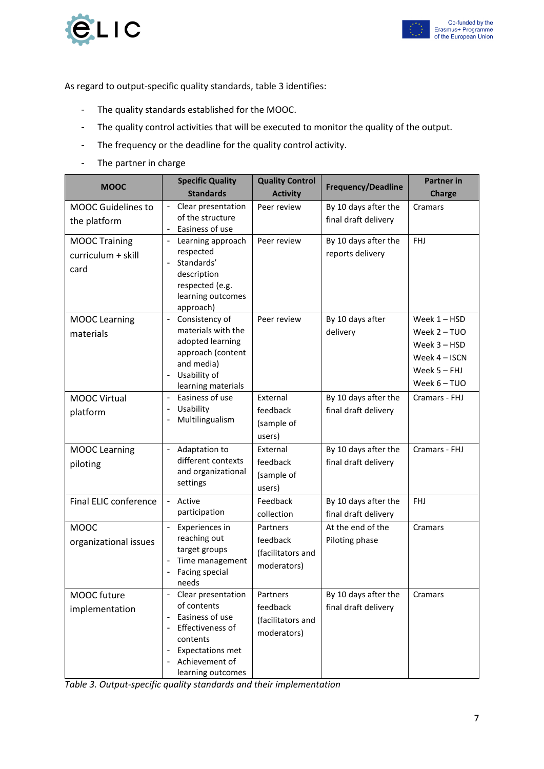



As regard to output-specific quality standards, table 3 identifies:

- The quality standards established for the MOOC.
- The quality control activities that will be executed to monitor the quality of the output.
- The frequency or the deadline for the quality control activity.
- The partner in charge

| <b>MOOC</b>                                        | <b>Specific Quality</b>                                                                                                                                                                                                                         | <b>Quality Control</b>                                   | <b>Frequency/Deadline</b>                    | <b>Partner</b> in                                                                             |
|----------------------------------------------------|-------------------------------------------------------------------------------------------------------------------------------------------------------------------------------------------------------------------------------------------------|----------------------------------------------------------|----------------------------------------------|-----------------------------------------------------------------------------------------------|
|                                                    | <b>Standards</b>                                                                                                                                                                                                                                | <b>Activity</b>                                          |                                              | <b>Charge</b>                                                                                 |
| <b>MOOC Guidelines to</b><br>the platform          | Clear presentation<br>$\blacksquare$<br>of the structure<br>Easiness of use<br>$\overline{\phantom{a}}$                                                                                                                                         | Peer review                                              | By 10 days after the<br>final draft delivery | Cramars                                                                                       |
| <b>MOOC Training</b><br>curriculum + skill<br>card | Learning approach<br>$\overline{\phantom{a}}$<br>respected<br>Standards'<br>description<br>respected (e.g.<br>learning outcomes<br>approach)                                                                                                    | Peer review                                              | By 10 days after the<br>reports delivery     | <b>FHJ</b>                                                                                    |
| <b>MOOC Learning</b><br>materials                  | Consistency of<br>$\overline{\phantom{a}}$<br>materials with the<br>adopted learning<br>approach (content<br>and media)<br>Usability of<br>$\overline{\phantom{a}}$<br>learning materials                                                       | Peer review                                              | By 10 days after<br>delivery                 | Week 1 - HSD<br>Week 2 - TUO<br>Week 3 - HSD<br>Week 4 - ISCN<br>Week 5 - FHJ<br>Week 6 - TUO |
| <b>MOOC Virtual</b><br>platform                    | Easiness of use<br>$\overline{\phantom{a}}$<br>Usability<br>$\overline{\phantom{a}}$<br>Multilingualism<br>$\overline{\phantom{a}}$                                                                                                             | External<br>feedback<br>(sample of<br>users)             | By 10 days after the<br>final draft delivery | Cramars - FHJ                                                                                 |
| <b>MOOC Learning</b><br>piloting                   | Adaptation to<br>$\blacksquare$<br>different contexts<br>and organizational<br>settings                                                                                                                                                         | External<br>feedback<br>(sample of<br>users)             | By 10 days after the<br>final draft delivery | Cramars - FHJ                                                                                 |
| Final ELIC conference                              | Active<br>$\blacksquare$<br>participation                                                                                                                                                                                                       | Feedback<br>collection                                   | By 10 days after the<br>final draft delivery | <b>FHJ</b>                                                                                    |
| <b>MOOC</b><br>organizational issues               | Experiences in<br>$\blacksquare$<br>reaching out<br>target groups<br>Time management<br>$\overline{\phantom{a}}$<br>Facing special<br>needs                                                                                                     | Partners<br>feedback<br>(facilitators and<br>moderators) | At the end of the<br>Piloting phase          | Cramars                                                                                       |
| MOOC future<br>implementation                      | Clear presentation<br>$\overline{\phantom{a}}$<br>of contents<br>Easiness of use<br>$\overline{\phantom{a}}$<br>Effectiveness of<br>$\overline{\phantom{a}}$<br>contents<br><b>Expectations met</b><br>٠<br>Achievement of<br>learning outcomes | Partners<br>feedback<br>(facilitators and<br>moderators) | By 10 days after the<br>final draft delivery | Cramars                                                                                       |

*Table 3. Output-specific quality standards and their implementation*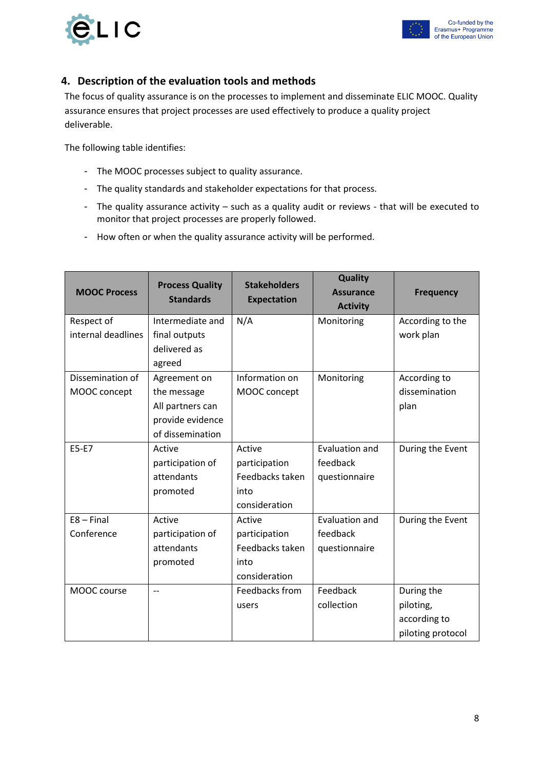



#### <span id="page-7-0"></span>**4. Description of the evaluation tools and methods**

The focus of quality assurance is on the processes to implement and disseminate ELIC MOOC. Quality assurance ensures that project processes are used effectively to produce a quality project deliverable.

The following table identifies:

- The MOOC processes subject to quality assurance.
- The quality standards and stakeholder expectations for that process.
- The quality assurance activity such as a quality audit or reviews that will be executed to monitor that project processes are properly followed.
- How often or when the quality assurance activity will be performed.

| <b>MOOC Process</b> | <b>Process Quality</b><br><b>Standards</b> | <b>Stakeholders</b> | <b>Quality</b><br><b>Assurance</b> | <b>Frequency</b>  |
|---------------------|--------------------------------------------|---------------------|------------------------------------|-------------------|
|                     |                                            | <b>Expectation</b>  | <b>Activity</b>                    |                   |
| Respect of          | Intermediate and                           | N/A                 | Monitoring                         | According to the  |
| internal deadlines  | final outputs                              |                     |                                    | work plan         |
|                     | delivered as                               |                     |                                    |                   |
|                     | agreed                                     |                     |                                    |                   |
| Dissemination of    | Agreement on                               | Information on      | Monitoring                         | According to      |
| MOOC concept        | the message                                | MOOC concept        |                                    | dissemination     |
|                     | All partners can                           |                     |                                    | plan              |
|                     | provide evidence                           |                     |                                    |                   |
|                     | of dissemination                           |                     |                                    |                   |
| E5-E7               | Active                                     | Active              | <b>Evaluation and</b>              | During the Event  |
|                     | participation of                           | participation       | feedback                           |                   |
|                     | attendants                                 | Feedbacks taken     | questionnaire                      |                   |
|                     | promoted                                   | into                |                                    |                   |
|                     |                                            | consideration       |                                    |                   |
| $E8 - Final$        | Active                                     | Active              | Evaluation and                     | During the Event  |
| Conference          | participation of                           | participation       | feedback                           |                   |
|                     | attendants                                 | Feedbacks taken     | questionnaire                      |                   |
|                     | promoted                                   | into                |                                    |                   |
|                     |                                            | consideration       |                                    |                   |
| MOOC course         | $-$                                        | Feedbacks from      | Feedback                           | During the        |
|                     |                                            | users               | collection                         | piloting,         |
|                     |                                            |                     |                                    | according to      |
|                     |                                            |                     |                                    | piloting protocol |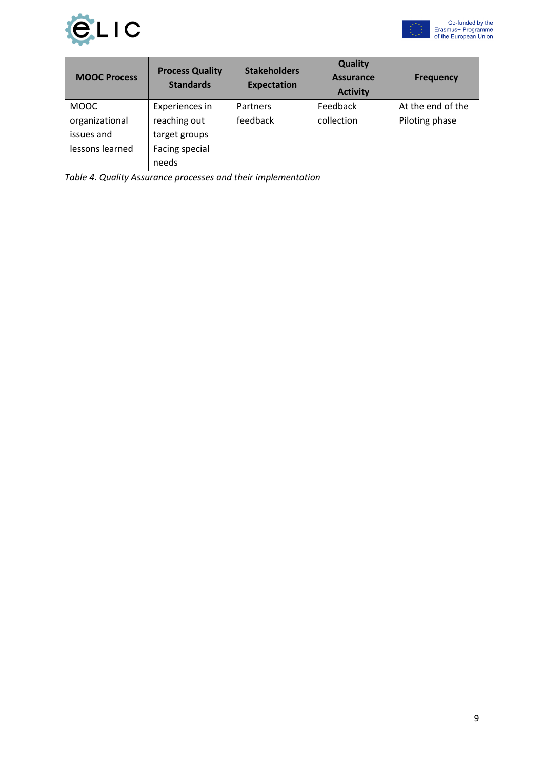



| <b>MOOC Process</b> | <b>Process Quality</b><br><b>Standards</b> | <b>Stakeholders</b><br><b>Expectation</b> | <b>Quality</b><br><b>Assurance</b><br><b>Activity</b> | <b>Frequency</b>  |
|---------------------|--------------------------------------------|-------------------------------------------|-------------------------------------------------------|-------------------|
| <b>MOOC</b>         | Experiences in                             | Partners                                  | Feedback                                              | At the end of the |
| organizational      | reaching out                               | feedback                                  | collection                                            | Piloting phase    |
| issues and          | target groups                              |                                           |                                                       |                   |
| lessons learned     | Facing special                             |                                           |                                                       |                   |
|                     | needs                                      |                                           |                                                       |                   |

*Table 4. Quality Assurance processes and their implementation*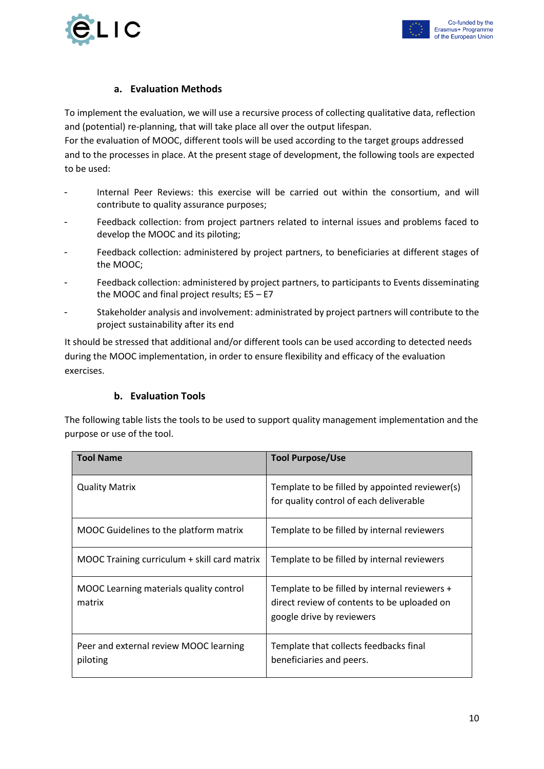



#### **a. Evaluation Methods**

<span id="page-9-0"></span>To implement the evaluation, we will use a recursive process of collecting qualitative data, reflection and (potential) re-planning, that will take place all over the output lifespan.

For the evaluation of MOOC, different tools will be used according to the target groups addressed and to the processes in place. At the present stage of development, the following tools are expected to be used:

- Internal Peer Reviews: this exercise will be carried out within the consortium, and will contribute to quality assurance purposes;
- Feedback collection: from project partners related to internal issues and problems faced to develop the MOOC and its piloting;
- Feedback collection: administered by project partners, to beneficiaries at different stages of the MOOC;
- Feedback collection: administered by project partners, to participants to Events disseminating the MOOC and final project results; E5 – E7
- Stakeholder analysis and involvement: administrated by project partners will contribute to the project sustainability after its end

It should be stressed that additional and/or different tools can be used according to detected needs during the MOOC implementation, in order to ensure flexibility and efficacy of the evaluation exercises.

#### **b. Evaluation Tools**

<span id="page-9-1"></span>The following table lists the tools to be used to support quality management implementation and the purpose or use of the tool.

| <b>Tool Name</b>                                   | <b>Tool Purpose/Use</b>                                                                                                   |
|----------------------------------------------------|---------------------------------------------------------------------------------------------------------------------------|
| <b>Quality Matrix</b>                              | Template to be filled by appointed reviewer(s)<br>for quality control of each deliverable                                 |
| MOOC Guidelines to the platform matrix             | Template to be filled by internal reviewers                                                                               |
| MOOC Training curriculum + skill card matrix       | Template to be filled by internal reviewers                                                                               |
| MOOC Learning materials quality control<br>matrix  | Template to be filled by internal reviewers +<br>direct review of contents to be uploaded on<br>google drive by reviewers |
| Peer and external review MOOC learning<br>piloting | Template that collects feedbacks final<br>beneficiaries and peers.                                                        |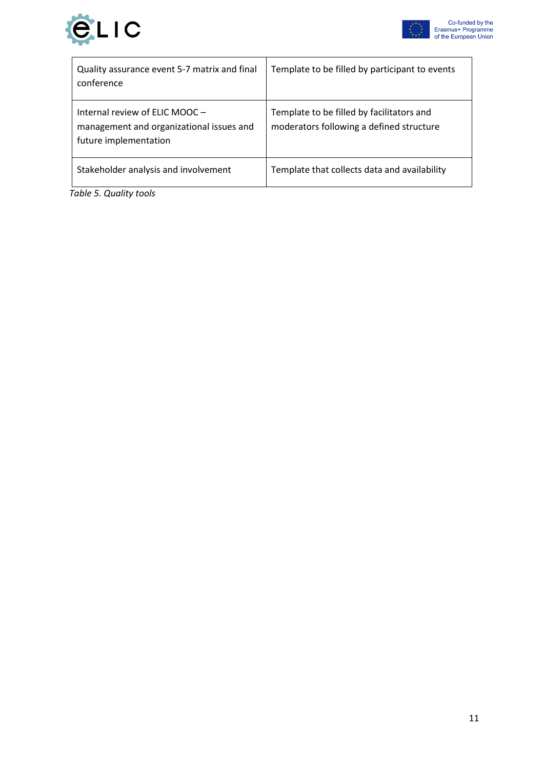



 $\overline{\phantom{a}}$ 

| Quality assurance event 5-7 matrix and final<br>conference                                          | Template to be filled by participant to events                                        |
|-----------------------------------------------------------------------------------------------------|---------------------------------------------------------------------------------------|
| Internal review of ELIC MOOC -<br>management and organizational issues and<br>future implementation | Template to be filled by facilitators and<br>moderators following a defined structure |
| Stakeholder analysis and involvement                                                                | Template that collects data and availability                                          |

 *Table 5. Quality tools*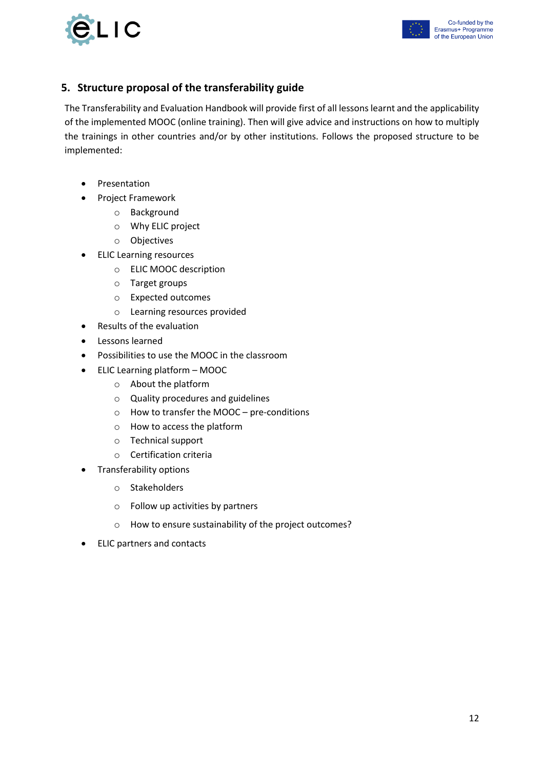



#### <span id="page-11-0"></span>**5. Structure proposal of the transferability guide**

The Transferability and Evaluation Handbook will provide first of all lessons learnt and the applicability of the implemented MOOC (online training). Then will give advice and instructions on how to multiply the trainings in other countries and/or by other institutions. Follows the proposed structure to be implemented:

- Presentation
- Project Framework
	- o Background
	- o Why ELIC project
	- o Objectives
- ELIC Learning resources
	- o ELIC MOOC description
	- o Target groups
	- o Expected outcomes
	- o Learning resources provided
- Results of the evaluation
- Lessons learned
- Possibilities to use the MOOC in the classroom
- ELIC Learning platform MOOC
	- o About the platform
	- o Quality procedures and guidelines
	- o How to transfer the MOOC pre-conditions
	- o How to access the platform
	- o Technical support
	- o Certification criteria
- Transferability options
	- o Stakeholders
	- o Follow up activities by partners
	- o How to ensure sustainability of the project outcomes?
- ELIC partners and contacts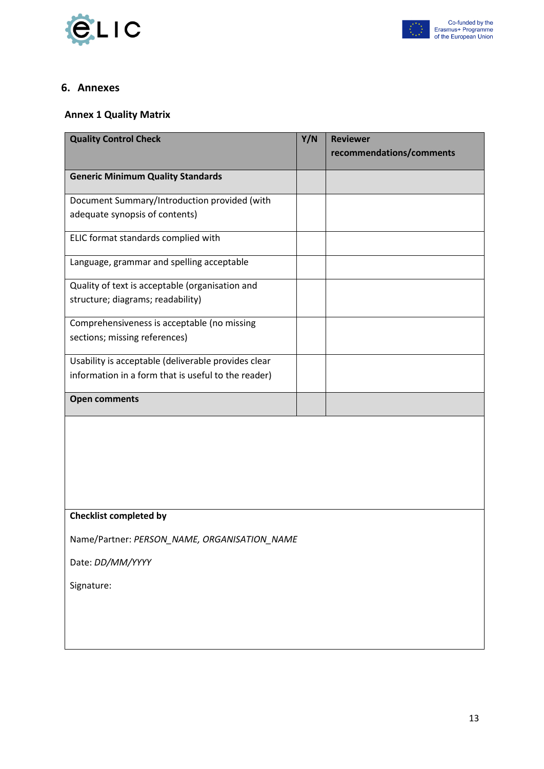



#### <span id="page-12-0"></span>**6. Annexes**

#### <span id="page-12-1"></span>**Annex 1 Quality Matrix**

| <b>Quality Control Check</b>                        | Y/N | <b>Reviewer</b>          |
|-----------------------------------------------------|-----|--------------------------|
|                                                     |     | recommendations/comments |
| <b>Generic Minimum Quality Standards</b>            |     |                          |
| Document Summary/Introduction provided (with        |     |                          |
| adequate synopsis of contents)                      |     |                          |
| ELIC format standards complied with                 |     |                          |
| Language, grammar and spelling acceptable           |     |                          |
| Quality of text is acceptable (organisation and     |     |                          |
| structure; diagrams; readability)                   |     |                          |
| Comprehensiveness is acceptable (no missing         |     |                          |
| sections; missing references)                       |     |                          |
| Usability is acceptable (deliverable provides clear |     |                          |
| information in a form that is useful to the reader) |     |                          |
| <b>Open comments</b>                                |     |                          |
|                                                     |     |                          |
|                                                     |     |                          |
|                                                     |     |                          |
|                                                     |     |                          |
| <b>Checklist completed by</b>                       |     |                          |
| Name/Partner: PERSON_NAME, ORGANISATION_NAME        |     |                          |
| Date: DD/MM/YYYY                                    |     |                          |

Signature: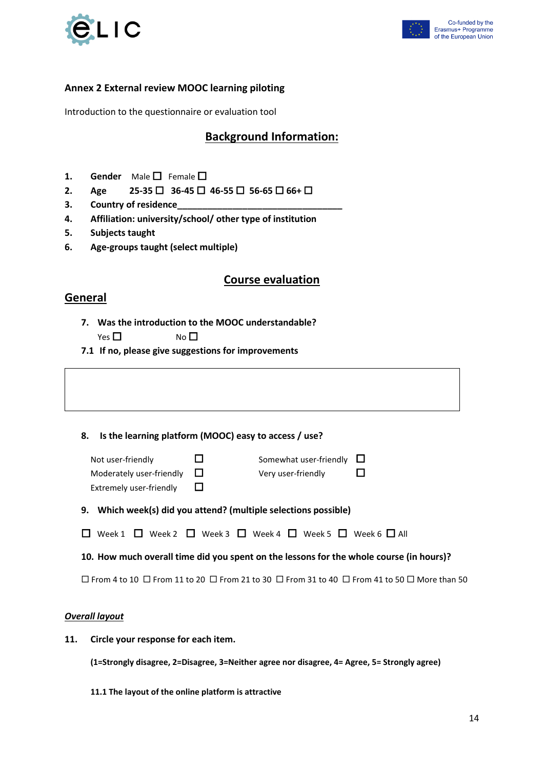



#### <span id="page-13-0"></span>**Annex 2 External review MOOC learning piloting**

Introduction to the questionnaire or evaluation tool

#### **Background Information:**

- 1. **Gender** Male  $\Box$  Female  $\Box$
- **2. Age 25-35 □** 36-45 □ 46-55 □ 56-65 □ 66+ □
- **3. Country of residence\_\_\_\_\_\_\_\_\_\_\_\_\_\_\_\_\_\_\_\_\_\_\_\_\_\_\_\_\_\_\_\_\_**
- **4. Affiliation: university/school/ other type of institution**
- **5. Subjects taught**
- **6. Age-groups taught (select multiple)**

#### **Course evaluation**

#### **General**

- **7. Was the introduction to the MOOC understandable?**  $Yes \Box$  No  $\Box$
- **7.1 If no, please give suggestions for improvements**

**8. Is the learning platform (MOOC) easy to access / use?**

| Not user-friendly               | Somewhat user-friendly $\Box$ |   |
|---------------------------------|-------------------------------|---|
| Moderately user-friendly $\Box$ | Very user-friendly            | ❏ |
| Extremely user-friendly         |                               |   |

**9. Which week(s) did you attend? (multiple selections possible)**

| $\square$ Week 1 $\square$ Week 2 $\square$ Week 3 $\square$ Week 4 $\square$ Week 5 $\square$ Week 6 $\square$ All |  |  |
|---------------------------------------------------------------------------------------------------------------------|--|--|
|---------------------------------------------------------------------------------------------------------------------|--|--|

**10. How much overall time did you spent on the lessons for the whole course (in hours)?**

 $\Box$  From 4 to 10  $\Box$  From 11 to 20  $\Box$  From 21 to 30  $\Box$  From 31 to 40  $\Box$  From 41 to 50  $\Box$  More than 50

#### *Overall layout*

**11. Circle your response for each item.**

**(1=Strongly disagree, 2=Disagree, 3=Neither agree nor disagree, 4= Agree, 5= Strongly agree)**

**11.1 The layout of the online platform is attractive**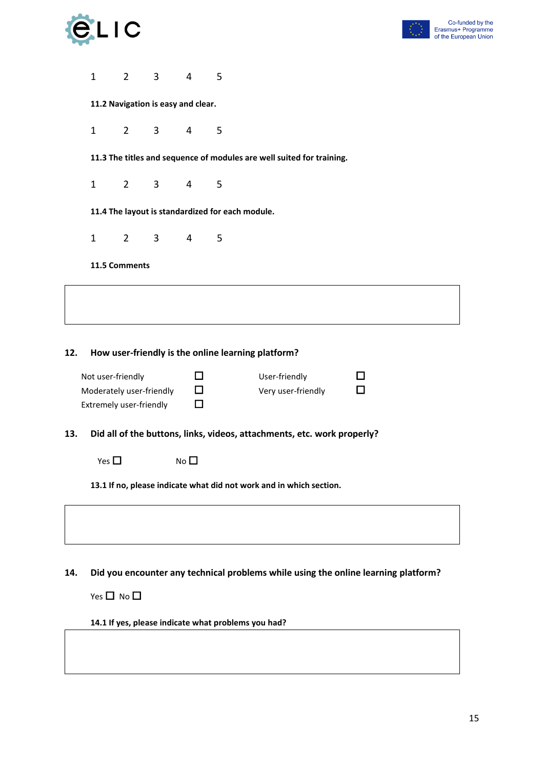|     |                         | $\overline{\phantom{a}}$ |                                                  |                |   |                                                                                    |   | Co-funded by the<br>Erasmus+ Programme<br>of the European Union |
|-----|-------------------------|--------------------------|--------------------------------------------------|----------------|---|------------------------------------------------------------------------------------|---|-----------------------------------------------------------------|
|     |                         |                          |                                                  |                |   |                                                                                    |   |                                                                 |
|     | $\mathbf{1}$            | $\overline{2}$           | $\overline{3}$                                   | $\overline{4}$ | 5 |                                                                                    |   |                                                                 |
|     |                         |                          | 11.2 Navigation is easy and clear.               |                |   |                                                                                    |   |                                                                 |
|     | $\mathbf{1}$            | $\overline{2}$           | 3                                                | 4              | 5 |                                                                                    |   |                                                                 |
|     |                         |                          |                                                  |                |   | 11.3 The titles and sequence of modules are well suited for training.              |   |                                                                 |
|     | $\mathbf{1}$            | $2^{\circ}$              | 3                                                | 4              | 5 |                                                                                    |   |                                                                 |
|     |                         |                          | 11.4 The layout is standardized for each module. |                |   |                                                                                    |   |                                                                 |
|     | $\mathbf{1}$            | $2^{\circ}$              | 3                                                | 4              | 5 |                                                                                    |   |                                                                 |
|     |                         | 11.5 Comments            |                                                  |                |   |                                                                                    |   |                                                                 |
|     |                         |                          |                                                  |                |   |                                                                                    |   |                                                                 |
|     |                         |                          |                                                  |                |   |                                                                                    |   |                                                                 |
| 12. |                         |                          |                                                  |                |   | How user-friendly is the online learning platform?                                 |   |                                                                 |
|     | Not user-friendly       |                          |                                                  | □              |   | User-friendly                                                                      | П |                                                                 |
|     |                         |                          | Moderately user-friendly                         | $\Box$         |   | Very user-friendly                                                                 | П |                                                                 |
|     | Extremely user-friendly |                          |                                                  | □              |   |                                                                                    |   |                                                                 |
| 13. |                         |                          |                                                  |                |   | Did all of the buttons, links, videos, attachments, etc. work properly?            |   |                                                                 |
|     | Yes $\Box$              |                          |                                                  | $No$ $\square$ |   |                                                                                    |   |                                                                 |
|     |                         |                          |                                                  |                |   | 13.1 If no, please indicate what did not work and in which section.                |   |                                                                 |
|     |                         |                          |                                                  |                |   |                                                                                    |   |                                                                 |
|     |                         |                          |                                                  |                |   |                                                                                    |   |                                                                 |
| 14. |                         |                          |                                                  |                |   | Did you encounter any technical problems while using the online learning platform? |   |                                                                 |

Yes  $\Box$  No  $\Box$ 

**14.1 If yes, please indicate what problems you had?**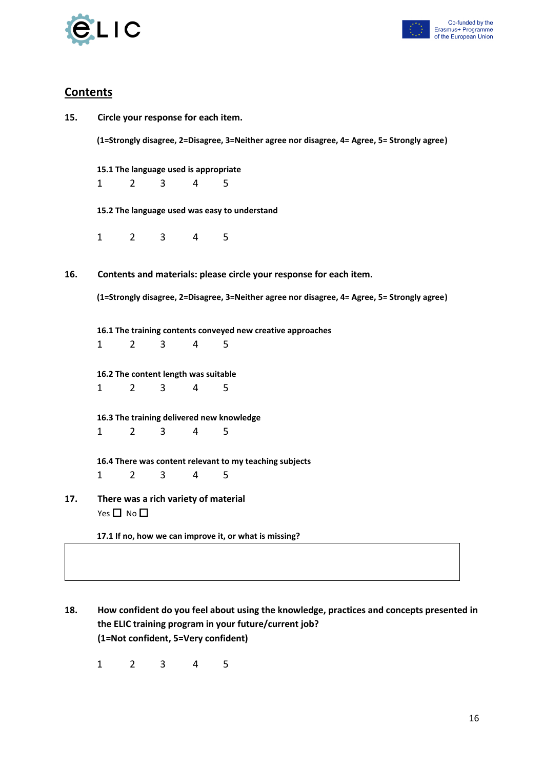



#### **Contents**

| 15. | Circle your response for each item.                                                          |                                                                    |                |                |                                                                                              |  |  |  |  |  |  |
|-----|----------------------------------------------------------------------------------------------|--------------------------------------------------------------------|----------------|----------------|----------------------------------------------------------------------------------------------|--|--|--|--|--|--|
|     | (1=Strongly disagree, 2=Disagree, 3=Neither agree nor disagree, 4= Agree, 5= Strongly agree) |                                                                    |                |                |                                                                                              |  |  |  |  |  |  |
|     |                                                                                              |                                                                    |                |                | 15.1 The language used is appropriate                                                        |  |  |  |  |  |  |
|     | $\mathbf{1}$                                                                                 | $\overline{2}$                                                     | $\overline{3}$ | $\overline{4}$ | 5                                                                                            |  |  |  |  |  |  |
|     |                                                                                              |                                                                    |                |                | 15.2 The language used was easy to understand                                                |  |  |  |  |  |  |
|     | $\mathbf{1}$                                                                                 | $2^{\circ}$                                                        | 3 <sup>7</sup> | $\overline{4}$ | 5                                                                                            |  |  |  |  |  |  |
| 16. |                                                                                              | Contents and materials: please circle your response for each item. |                |                |                                                                                              |  |  |  |  |  |  |
|     |                                                                                              |                                                                    |                |                | (1=Strongly disagree, 2=Disagree, 3=Neither agree nor disagree, 4= Agree, 5= Strongly agree) |  |  |  |  |  |  |
|     |                                                                                              | 16.1 The training contents conveyed new creative approaches        |                |                |                                                                                              |  |  |  |  |  |  |
|     | $\mathbf{1}$                                                                                 | $\overline{2}$                                                     | $\overline{3}$ | $\overline{4}$ | 5                                                                                            |  |  |  |  |  |  |
|     |                                                                                              | 16.2 The content length was suitable                               |                |                |                                                                                              |  |  |  |  |  |  |
|     | $\mathbf{1}$                                                                                 | $\overline{2}$                                                     | 3              | $\overline{4}$ | 5                                                                                            |  |  |  |  |  |  |
|     |                                                                                              |                                                                    |                |                | 16.3 The training delivered new knowledge                                                    |  |  |  |  |  |  |
|     | 1                                                                                            | $\overline{2}$                                                     | 3              | 4              | 5                                                                                            |  |  |  |  |  |  |
|     |                                                                                              |                                                                    |                |                | 16.4 There was content relevant to my teaching subjects                                      |  |  |  |  |  |  |
|     | $\mathbf{1}$                                                                                 | $\overline{2}$                                                     | 3              | 4              | 5                                                                                            |  |  |  |  |  |  |
| 17. |                                                                                              | Yes $\square$ No $\square$                                         |                |                | There was a rich variety of material                                                         |  |  |  |  |  |  |
|     |                                                                                              |                                                                    |                |                | 17.1 If no, how we can improve it, or what is missing?                                       |  |  |  |  |  |  |

**18. How confident do you feel about using the knowledge, practices and concepts presented in the ELIC training program in your future/current job? (1=Not confident, 5=Very confident)**

1 2 3 4 5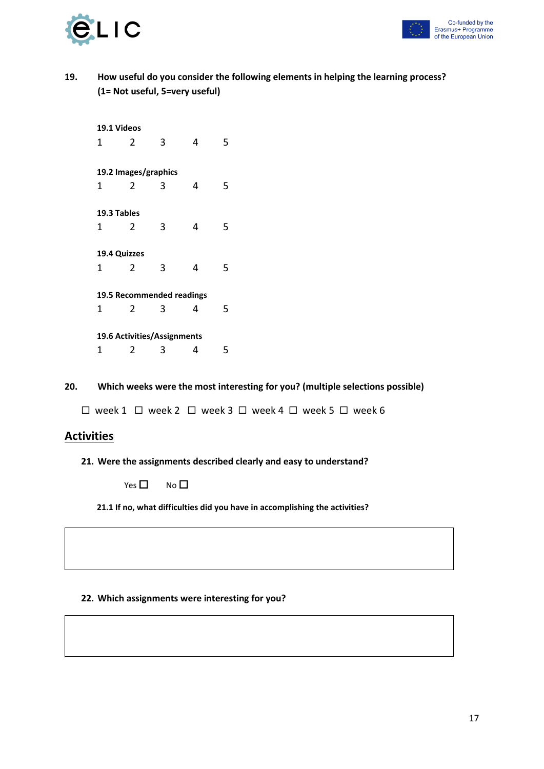

#### **19. How useful do you consider the following elements in helping the learning process? (1= Not useful, 5=very useful)**

**20. Which weeks were the most interesting for you? (multiple selections possible)**

 $\Box$  week 1  $\Box$  week 2  $\Box$  week 3  $\Box$  week 4  $\Box$  week 5  $\Box$  week 6

#### **Activities**

**21. Were the assignments described clearly and easy to understand?** 

 $Yes \Box \qquad No \Box$ 

**21.1 If no, what difficulties did you have in accomplishing the activities?**

#### **22. Which assignments were interesting for you?**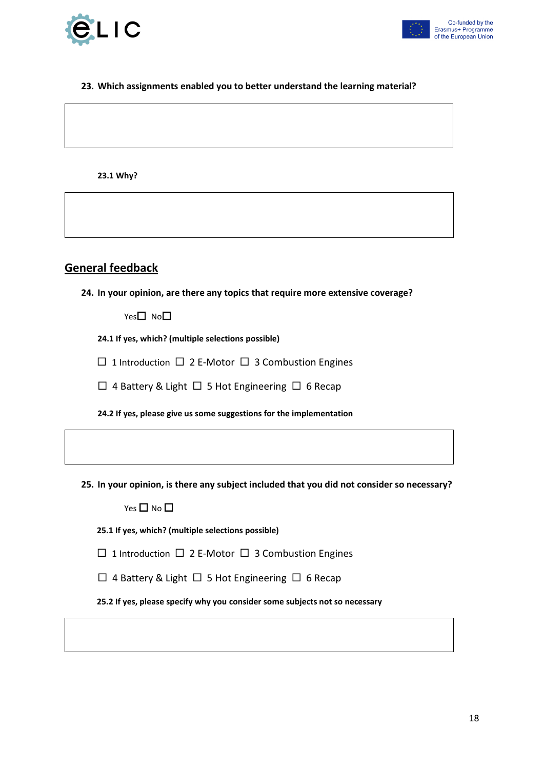



#### **23. Which assignments enabled you to better understand the learning material?**

**23.1 Why?**

#### **General feedback**

**24. In your opinion, are there any topics that require more extensive coverage?**

 $Yes \Box No \Box$ 

**24.1 If yes, which? (multiple selections possible)**

 $\Box$  1 Introduction  $\Box$  2 E-Motor  $\Box$  3 Combustion Engines

 $\Box$  4 Battery & Light  $\Box$  5 Hot Engineering  $\Box$  6 Recap

**24.2 If yes, please give us some suggestions for the implementation**

**25. In your opinion, is there any subject included that you did not consider so necessary?**

Yes  $\square$  No  $\square$ 

**25.1 If yes, which? (multiple selections possible)**

 $\Box$  1 Introduction  $\Box$  2 E-Motor  $\Box$  3 Combustion Engines

 $\Box$  4 Battery & Light  $\Box$  5 Hot Engineering  $\Box$  6 Recap

**25.2 If yes, please specify why you consider some subjects not so necessary**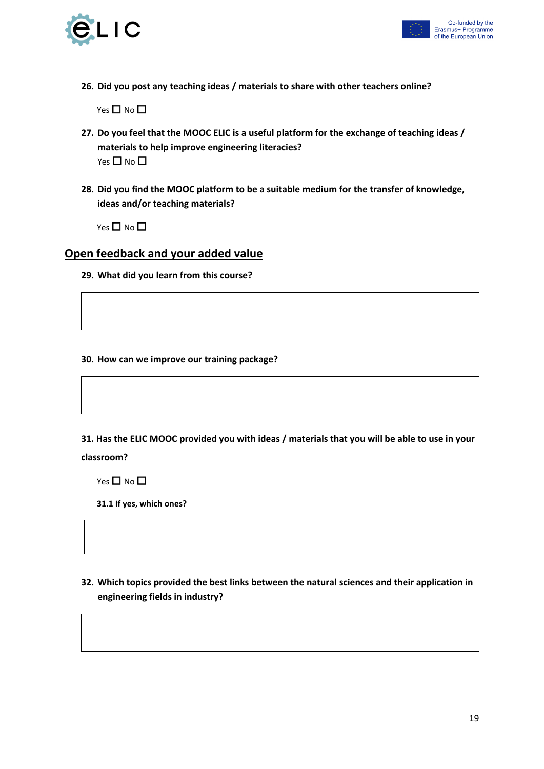



**26. Did you post any teaching ideas / materials to share with other teachers online?**

Yes  $\square$  No  $\square$ 

- **27. Do you feel that the MOOC ELIC is a useful platform for the exchange of teaching ideas / materials to help improve engineering literacies?** Yes  $\Box$  No  $\Box$
- **28. Did you find the MOOC platform to be a suitable medium for the transfer of knowledge, ideas and/or teaching materials?**

Yes  $\Box$  No  $\Box$ 

#### **Open feedback and your added value**

**29. What did you learn from this course?**

#### **30. How can we improve our training package?**

**31. Has the ELIC MOOC provided you with ideas / materials that you will be able to use in your classroom?**

Yes  $\square$  No  $\square$ 

**31.1 If yes, which ones?**

**32. Which topics provided the best links between the natural sciences and their application in engineering fields in industry?**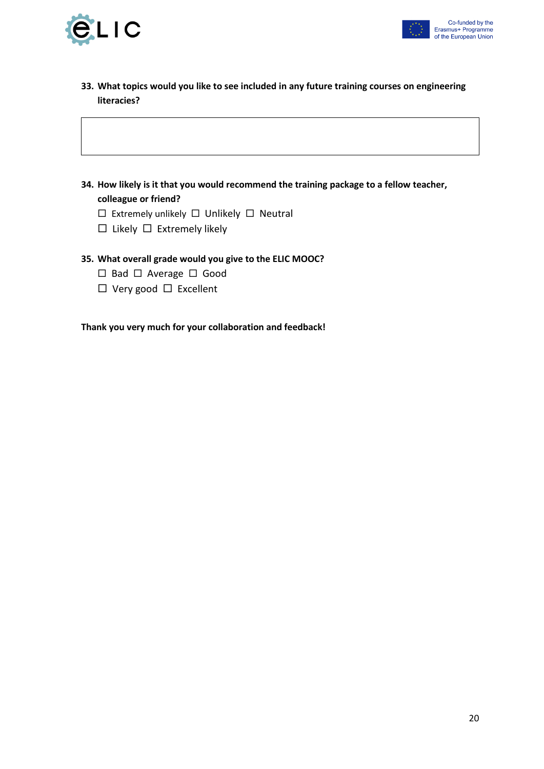



- **33. What topics would you like to see included in any future training courses on engineering literacies?**
- **34. How likely is it that you would recommend the training package to a fellow teacher, colleague or friend?**
	- $\square$  Extremely unlikely  $\square$  Unlikely  $\square$  Neutral
	- $\square$  Likely  $\square$  Extremely likely

#### **35. What overall grade would you give to the ELIC MOOC?**

- $\square$  Bad  $\square$  Average  $\square$  Good
- $\Box$  Very good  $\Box$  Excellent

**Thank you very much for your collaboration and feedback!**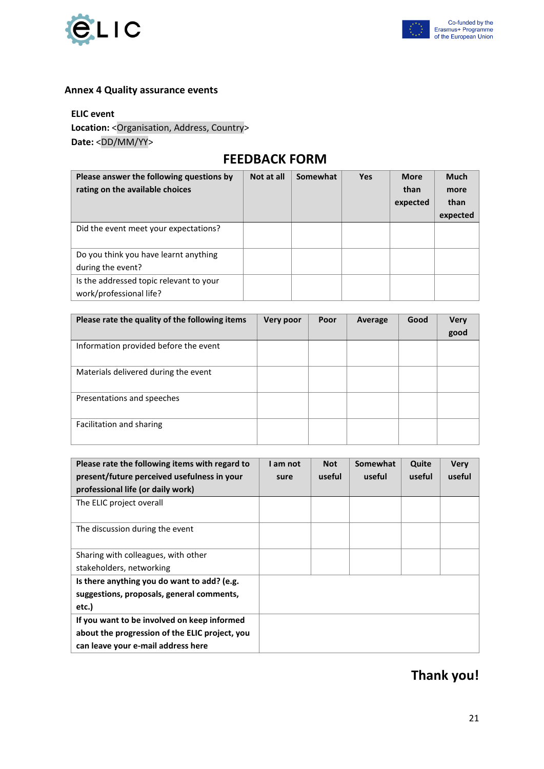



#### <span id="page-20-0"></span>**Annex 4 Quality assurance events**

#### **ELIC event**

Location: < Organisation, Address, Country> **Date:** <DD/MM/YY>

## **FEEDBACK FORM**

| Please answer the following questions by<br>rating on the available choices | Not at all | Somewhat | <b>Yes</b> | <b>More</b><br>than<br>expected | <b>Much</b><br>more<br>than<br>expected |
|-----------------------------------------------------------------------------|------------|----------|------------|---------------------------------|-----------------------------------------|
| Did the event meet your expectations?                                       |            |          |            |                                 |                                         |
| Do you think you have learnt anything<br>during the event?                  |            |          |            |                                 |                                         |
| Is the addressed topic relevant to your<br>work/professional life?          |            |          |            |                                 |                                         |

| Please rate the quality of the following items | Very poor | Poor | Average | Good | <b>Very</b> |
|------------------------------------------------|-----------|------|---------|------|-------------|
|                                                |           |      |         |      | good        |
| Information provided before the event          |           |      |         |      |             |
| Materials delivered during the event           |           |      |         |      |             |
| Presentations and speeches                     |           |      |         |      |             |
| Facilitation and sharing                       |           |      |         |      |             |

| Please rate the following items with regard to | I am not | <b>Not</b> | Somewhat | Quite  | <b>Very</b> |
|------------------------------------------------|----------|------------|----------|--------|-------------|
| present/future perceived usefulness in your    | sure     | useful     | useful   | useful | useful      |
| professional life (or daily work)              |          |            |          |        |             |
| The ELIC project overall                       |          |            |          |        |             |
|                                                |          |            |          |        |             |
| The discussion during the event                |          |            |          |        |             |
|                                                |          |            |          |        |             |
| Sharing with colleagues, with other            |          |            |          |        |             |
| stakeholders, networking                       |          |            |          |        |             |
| Is there anything you do want to add? (e.g.    |          |            |          |        |             |
| suggestions, proposals, general comments,      |          |            |          |        |             |
| etc.)                                          |          |            |          |        |             |
| If you want to be involved on keep informed    |          |            |          |        |             |
| about the progression of the ELIC project, you |          |            |          |        |             |
| can leave your e-mail address here             |          |            |          |        |             |

# **Thank you!**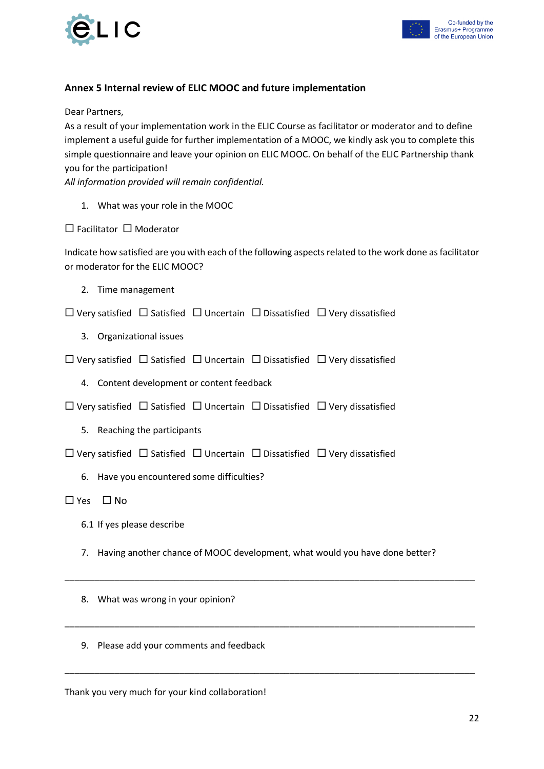



#### <span id="page-21-0"></span>**Annex 5 Internal review of ELIC MOOC and future implementation**

Dear Partners,

As a result of your implementation work in the ELIC Course as facilitator or moderator and to define implement a useful guide for further implementation of a MOOC, we kindly ask you to complete this simple questionnaire and leave your opinion on ELIC MOOC. On behalf of the ELIC Partnership thank you for the participation!

*All information provided will remain confidential.* 

1. What was your role in the MOOC

 $\Box$  Facilitator  $\Box$  Moderator

Indicate how satisfied are you with each of the following aspects related to the work done as facilitator or moderator for the ELIC MOOC?

2. Time management

 $\Box$  Very satisfied  $\Box$  Satisfied  $\Box$  Uncertain  $\Box$  Dissatisfied  $\Box$  Very dissatisfied

- 3. Organizational issues
- $\Box$  Very satisfied  $\Box$  Satisfied  $\Box$  Uncertain  $\Box$  Dissatisfied  $\Box$  Very dissatisfied
	- 4. Content development or content feedback
- $\square$  Very satisfied  $\square$  Satisfied  $\square$  Uncertain  $\square$  Dissatisfied  $\square$  Very dissatisfied
	- 5. Reaching the participants

 $\Box$  Very satisfied  $\Box$  Satisfied  $\Box$  Uncertain  $\Box$  Dissatisfied  $\Box$  Very dissatisfied

6. Have you encountered some difficulties?

 $\Box$  Yes  $\Box$  No

- 6.1 If yes please describe
- 7. Having another chance of MOOC development, what would you have done better?

\_\_\_\_\_\_\_\_\_\_\_\_\_\_\_\_\_\_\_\_\_\_\_\_\_\_\_\_\_\_\_\_\_\_\_\_\_\_\_\_\_\_\_\_\_\_\_\_\_\_\_\_\_\_\_\_\_\_\_\_\_\_\_\_\_\_\_\_\_\_\_\_\_\_\_\_\_\_\_\_\_\_

\_\_\_\_\_\_\_\_\_\_\_\_\_\_\_\_\_\_\_\_\_\_\_\_\_\_\_\_\_\_\_\_\_\_\_\_\_\_\_\_\_\_\_\_\_\_\_\_\_\_\_\_\_\_\_\_\_\_\_\_\_\_\_\_\_\_\_\_\_\_\_\_\_\_\_\_\_\_\_\_\_\_

\_\_\_\_\_\_\_\_\_\_\_\_\_\_\_\_\_\_\_\_\_\_\_\_\_\_\_\_\_\_\_\_\_\_\_\_\_\_\_\_\_\_\_\_\_\_\_\_\_\_\_\_\_\_\_\_\_\_\_\_\_\_\_\_\_\_\_\_\_\_\_\_\_\_\_\_\_\_\_\_\_\_

- 8. What was wrong in your opinion?
- 9. Please add your comments and feedback

Thank you very much for your kind collaboration!